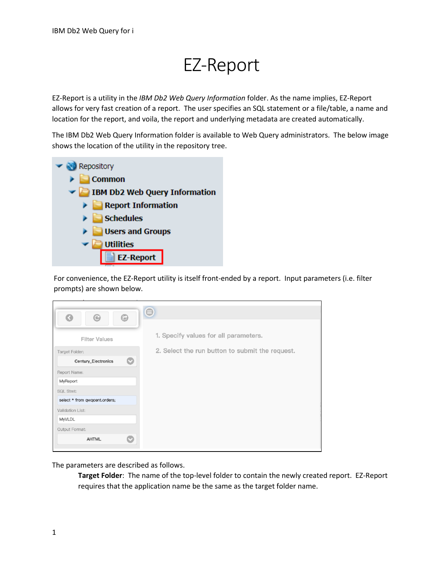## EZ-Report

EZ-Report is a utility in the *IBM Db2 Web Query Information* folder. As the name implies, EZ-Report allows for very fast creation of a report. The user specifies an SQL statement or a file/table, a name and location for the report, and voila, the report and underlying metadata are created automatically.

The IBM Db2 Web Query Information folder is available to Web Query administrators. The below image shows the location of the utility in the repository tree.



For convenience, the EZ-Report utility is itself front-ended by a report. Input parameters (i.e. filter prompts) are shown below.

| G<br>$_{\mathord{\odot}}$     | $\bullet$ | $\bm{\Theta}$                                   |
|-------------------------------|-----------|-------------------------------------------------|
|                               |           |                                                 |
| <b>Filter Values</b>          |           | 1. Specify values for all parameters.           |
| Target Folder:                |           | 2. Select the run button to submit the request. |
| Century_Electronics           | o         |                                                 |
| Report Name:                  |           |                                                 |
| MyReport                      |           |                                                 |
| SQL Stmt:                     |           |                                                 |
| select * from qwqcent.orders; |           |                                                 |
| Validation List:              |           |                                                 |
| MyVLDL                        |           |                                                 |
| Output Format:                |           |                                                 |
| <b>AHTML</b>                  | O         |                                                 |
|                               |           |                                                 |

The parameters are described as follows.

**Target Folder**: The name of the top-level folder to contain the newly created report. EZ-Report requires that the application name be the same as the target folder name.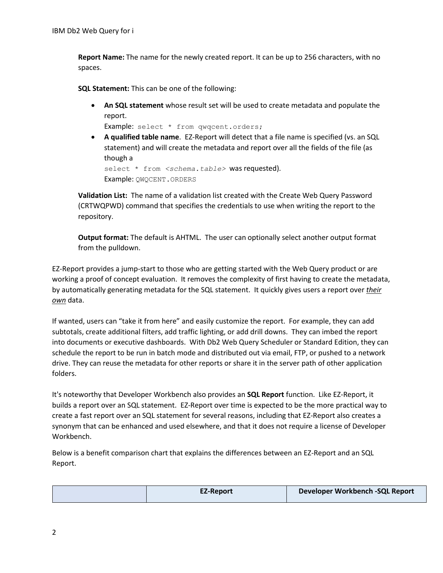**Report Name:** The name for the newly created report. It can be up to 256 characters, with no spaces.

**SQL Statement:** This can be one of the following:

• **An SQL statement** whose result set will be used to create metadata and populate the report.

Example: select \* from qwqcent.orders;

• **A qualified table name**. EZ-Report will detect that a file name is specified (vs. an SQL statement) and will create the metadata and report over all the fields of the file (as though a

select \* from <schema.table> was requested). Example: QWQCENT.ORDERS

**Validation List:** The name of a validation list created with the Create Web Query Password (CRTWQPWD) command that specifies the credentials to use when writing the report to the repository.

**Output format:** The default is AHTML. The user can optionally select another output format from the pulldown.

EZ-Report provides a jump-start to those who are getting started with the Web Query product or are working a proof of concept evaluation. It removes the complexity of first having to create the metadata, by automatically generating metadata for the SQL statement. It quickly gives users a report over *their own* data.

If wanted, users can "take it from here" and easily customize the report. For example, they can add subtotals, create additional filters, add traffic lighting, or add drill downs. They can imbed the report into documents or executive dashboards. With Db2 Web Query Scheduler or Standard Edition, they can schedule the report to be run in batch mode and distributed out via email, FTP, or pushed to a network drive. They can reuse the metadata for other reports or share it in the server path of other application folders.

It's noteworthy that Developer Workbench also provides an **SQL Report** function. Like EZ-Report, it builds a report over an SQL statement. EZ-Report over time is expected to be the more practical way to create a fast report over an SQL statement for several reasons, including that EZ-Report also creates a synonym that can be enhanced and used elsewhere, and that it does not require a license of Developer Workbench.

Below is a benefit comparison chart that explains the differences between an EZ-Report and an SQL Report.

|  | <b>EZ-Report</b> | Developer Workbench -SQL Report |
|--|------------------|---------------------------------|
|  |                  |                                 |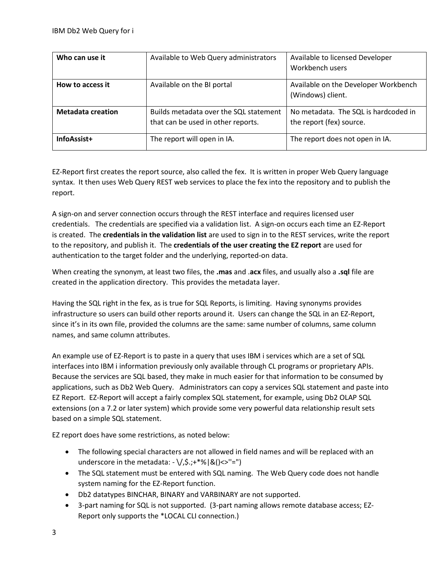| Who can use it           | Available to Web Query administrators                                        | Available to licensed Developer<br>Workbench users               |
|--------------------------|------------------------------------------------------------------------------|------------------------------------------------------------------|
| How to access it         | Available on the BI portal                                                   | Available on the Developer Workbench<br>(Windows) client.        |
| <b>Metadata creation</b> | Builds metadata over the SQL statement<br>that can be used in other reports. | No metadata. The SQL is hardcoded in<br>the report (fex) source. |
| InfoAssist+              | The report will open in IA.                                                  | The report does not open in IA.                                  |

EZ-Report first creates the report source, also called the fex. It is written in proper Web Query language syntax. It then uses Web Query REST web services to place the fex into the repository and to publish the report.

A sign-on and server connection occurs through the REST interface and requires licensed user credentials. The credentials are specified via a validation list. A sign-on occurs each time an EZ-Report is created. The **credentials in the validation list** are used to sign in to the REST services, write the report to the repository, and publish it. The **credentials of the user creating the EZ report** are used for authentication to the target folder and the underlying, reported-on data.

When creating the synonym, at least two files, the **.mas** and .**acx** files, and usually also a **.sql** file are created in the application directory. This provides the metadata layer.

Having the SQL right in the fex, as is true for SQL Reports, is limiting. Having synonyms provides infrastructure so users can build other reports around it. Users can change the SQL in an EZ-Report, since it's in its own file, provided the columns are the same: same number of columns, same column names, and same column attributes.

An example use of EZ-Report is to paste in a query that uses IBM i services which are a set of SQL interfaces into IBM i information previously only available through CL programs or proprietary APIs. Because the services are SQL based, they make in much easier for that information to be consumed by applications, such as Db2 Web Query. Administrators can copy a services SQL statement and paste into EZ Report. EZ-Report will accept a fairly complex SQL statement, for example, using Db2 OLAP SQL extensions (on a 7.2 or later system) which provide some very powerful data relationship result sets based on a simple SQL statement.

EZ report does have some restrictions, as noted below:

- The following special characters are not allowed in field names and will be replaced with an underscore in the metadata:  $-\sqrt{2}$ ; +\*%|&()<>"=")
- The SQL statement must be entered with SQL naming. The Web Query code does not handle system naming for the EZ-Report function.
- Db2 datatypes BINCHAR, BINARY and VARBINARY are not supported.
- 3-part naming for SQL is not supported. (3-part naming allows remote database access; EZ-Report only supports the \*LOCAL CLI connection.)